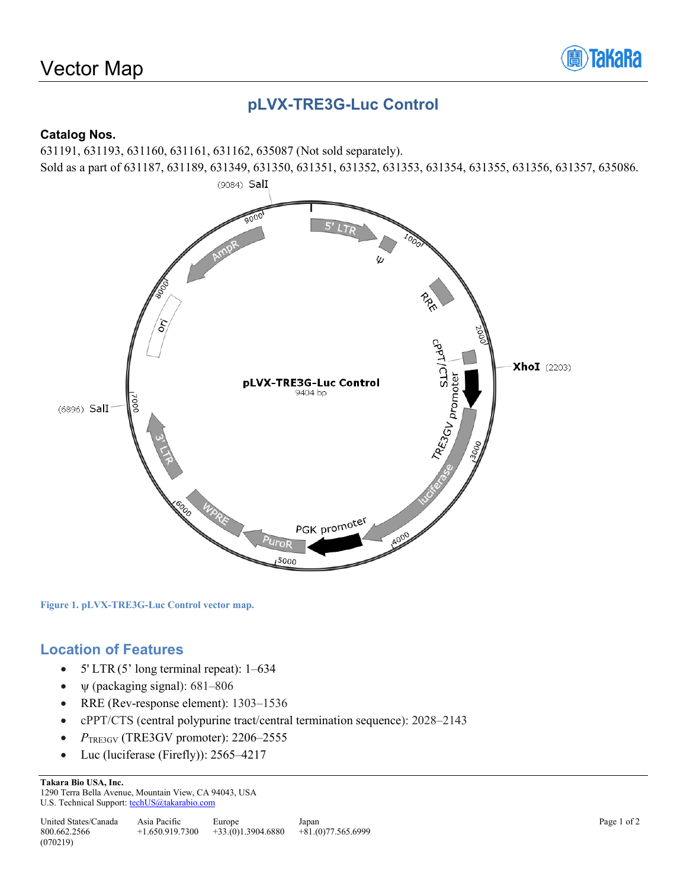

# **pLVX-TRE3G-Luc Control**

#### **Catalog Nos.**

631191, 631193, 631160, 631161, 631162, 635087 (Not sold separately). Sold as a part of 631187, 631189, 631349, 631350, 631351, 631352, 631353, 631354, 631355, 631356, 631357, 635086.



**Figure 1. pLVX-TRE3G-Luc Control vector map.**

### **Location of Features**

- $5' LTR(5' long terminal repeat): 1-634$
- $\psi$  (packaging signal): 681–806
- RRE (Rev-response element): 1303–1536
- cPPT/CTS (central polypurine tract/central termination sequence): 2028–2143
- *P*TRE3GV (TRE3GV promoter): 2206–2555
- Luc (luciferase (Firefly)): 2565–4217

**Takara Bio USA, Inc.** 

1290 Terra Bella Avenue, Mountain View, CA 94043, USA U.S. Technical Support: techUS@takarabio.com